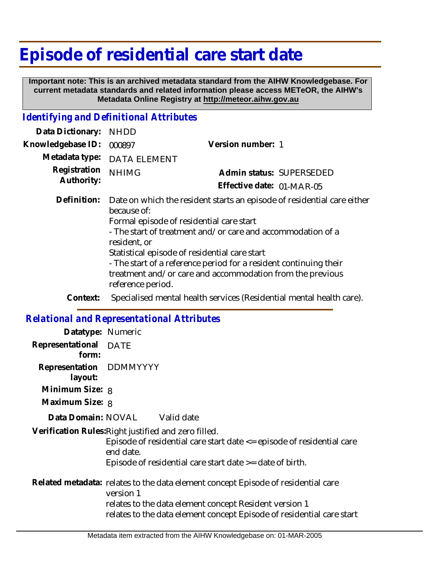## **Episode of residential care start date**

 **Important note: This is an archived metadata standard from the AIHW Knowledgebase. For current metadata standards and related information please access METeOR, the AIHW's Metadata Online Registry at http://meteor.aihw.gov.au**

## *Identifying and Definitional Attributes*

| Data Dictionary:           | <b>NHDD</b>                                                                                                                                                                                                                                                                                                                                                                                                               |                                                                      |
|----------------------------|---------------------------------------------------------------------------------------------------------------------------------------------------------------------------------------------------------------------------------------------------------------------------------------------------------------------------------------------------------------------------------------------------------------------------|----------------------------------------------------------------------|
| Knowledgebase ID:          | 000897                                                                                                                                                                                                                                                                                                                                                                                                                    | Version number: 1                                                    |
| Metadata type:             | <b>DATA ELEMENT</b>                                                                                                                                                                                                                                                                                                                                                                                                       |                                                                      |
| Registration<br>Authority: | <b>NHIMG</b>                                                                                                                                                                                                                                                                                                                                                                                                              | Admin status: SUPERSEDED                                             |
|                            |                                                                                                                                                                                                                                                                                                                                                                                                                           | Effective date: 01-MAR-05                                            |
| Definition:                | Date on which the resident starts an episode of residential care either<br>because of:<br>Formal episode of residential care start<br>- The start of treatment and/or care and accommodation of a<br>resident, or<br>Statistical episode of residential care start<br>- The start of a reference period for a resident continuing their<br>treatment and/or care and accommodation from the previous<br>reference period. |                                                                      |
| Context:                   |                                                                                                                                                                                                                                                                                                                                                                                                                           | Specialised mental health services (Residential mental health care). |

## *Relational and Representational Attributes*

| Datatype: Numeric                  |                                                                                                                                                                                                                                   |
|------------------------------------|-----------------------------------------------------------------------------------------------------------------------------------------------------------------------------------------------------------------------------------|
| Representational DATE<br>form:     |                                                                                                                                                                                                                                   |
| Representation DDMMYYYY<br>layout: |                                                                                                                                                                                                                                   |
| Minimum Size: 8                    |                                                                                                                                                                                                                                   |
| Maximum Size: 8                    |                                                                                                                                                                                                                                   |
|                                    | Data Domain: NOVAL Valid date                                                                                                                                                                                                     |
|                                    | Verification Rules: Right justified and zero filled.<br>Episode of residential care start date <= episode of residential care<br>end date.<br>Episode of residential care start date $\geq$ date of birth.                        |
|                                    | Related metadata: relates to the data element concept Episode of residential care<br>version 1<br>relates to the data element concept Resident version 1<br>relates to the data element concept Episode of residential care start |